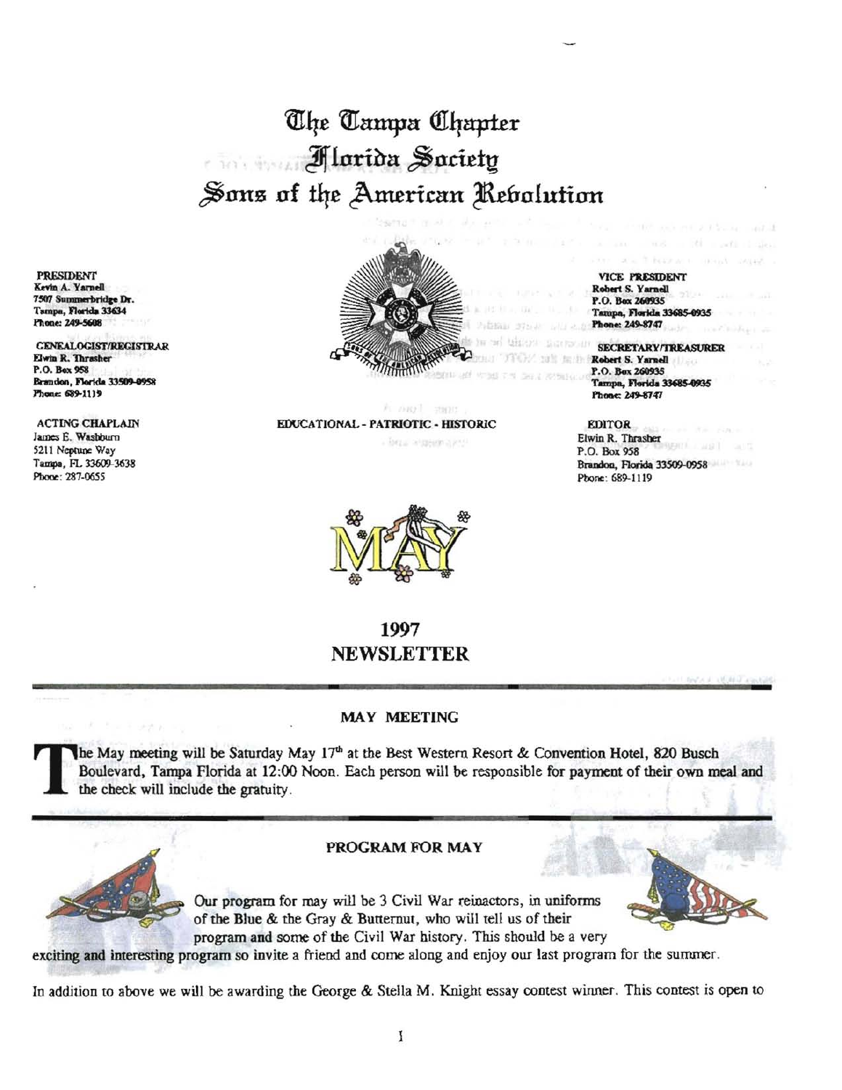# The Tampa Chapter Alarida Saciety Sons of the American Rebolution

**PRESIDENT** Kevin A. Yarnell 7507 Summerbridge Dr. Tampa, Florida 33634 Phone: 249-5608

**GENEALOGIST/REGISTRAR** Elwin R. Thrasher P.O. Box 958 Brandon, Florida 33509-0958 Phone: 689-1119

**ACTING CHAPLAIN** James E. Washburn 5211 Neptune Way Tampa, FL 33609-3638 Phone: 287-0655

й окол мог

**VICE PRESIDENT** Robert S. Yarnell P.O. Box 260935 Tampa, Florida 33685-0935 Phone: 249-8747

one sea l'obrase e

**SECRETARY/TREASURER** Robert S. Yarnell P.O. Box 260935 Tampa, Florida 33685-0935 Phone: 249-8747

#### EDUCATIONAL - PATRIOTIC - HISTORIC · box algebraics



**EDITOR** Elwin R. Thrasher P.O. Box 958 Brandon, Florida 33509-0958 Phone: 689-1119

## 1997 NEWSLETTER

### **MAY MEETING**

The May meeting will be Saturday May 17th at the Best Western Resort & Convention Hotel, 820 Busch Boulevard, Tampa Florida at 12:00 Noon. Each person will be responsible for payment of their own meal and the check will include the gratuity.

#### PROGRAM FOR MAY





exciting and interesting program so invite a friend and come along and enjoy our last program for the summer.

In addition to above we will be awarding the George & Stella M. Knight essay contest winner. This contest is open to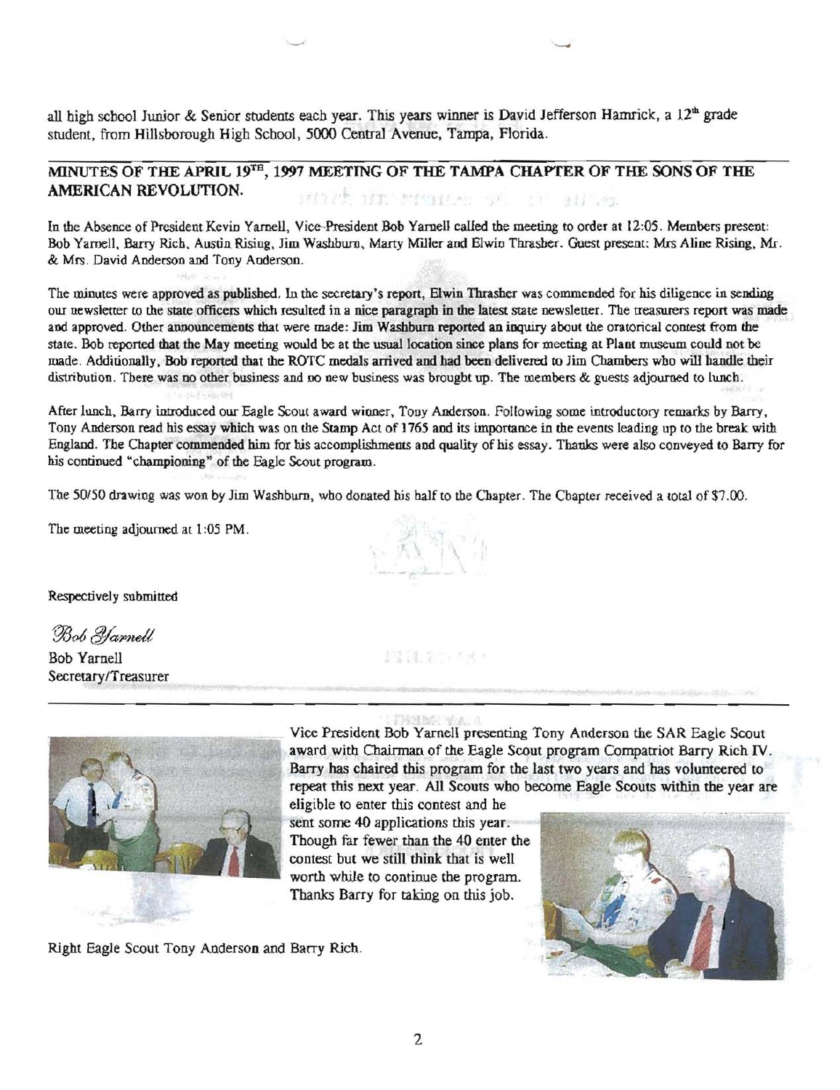all high school Junior & Senior students each year. This years winner is David Jefferson Hamrick, a  $12<sup>th</sup>$  grade student, from Hillsborough High School, 5000 Central Avenue, Tampa, Florida.

#### MINUTES OF THE APRIL 19TH, 1997 MEETING OF THE TAMPA CHAPTER OF THE SONS OF THE AMERICAN REVOLUTION. HITS NE MARIA T ST all en

In the Absence of President Kevin Yamell, Vice-President Bob Yamell called the meeting to order at 12:05. Members present: Bob Yarnell, Barry Rich, Austin Rising, *lim* Washbwn, Marty M'Lller and Elwin Thrasher. Guest present: Mrs Aline Rising, Mr. & Mrs. David Anderson and Tony Anderson.

The minutes were approved as published. In the secretary's report, Elwin Thrasher was commended for his diligence in sending our newsletter to the state officers which resulted in a nice paragraph in the latest state newsletter. The treasurers report was made and approved. Other announcements that were made: Jim Washburn reported an inquiry about the oratorical contest from the state. Bob reported that the May meeting would be at the usual location since plans for meeting at Plant museum could not be made. Additionally, Bob reported that the ROTC medals arrived and had been delivered to lim Chambers who will handle their distribution. There was no other business and no new business was brought up. The members & guests adjourned to lunch.

After lunch, Barry introduced our Eagle Scout awaro wioner, Tony Anderson. Following some introductory remarks by Barry, Tony Anderson read his essay which was on the Stamp Act of 1765 and its importance in the events leading up to the break with England. The Chapter commended him for his accomplishments and quality of his essay. Thanks were also conveyed to Barry for his continued "championing" of the Eagle Scout program.

The *50/50* drawing was won by Jim Washburn, who donated his half to the Chapter. The Chapter received a IOtal of \$7.00,

The meeting adjourned at 1:05 PM.

Respectively submitted

Bob *Yarnell* 

Bob Yarnell Secretary/Treasurer



Vice President Bob Yarnell presenting Tony Anderson the SAR Eagle Scout award with Chairman of the Eagle Scout program Compatriot Barry Rich IV. Barry has chaired this program for the last two years and has volunteered to repeat this next year. All Scouts who become Eagle Scouts within the year are

eligible to enter this contest and he sent some 40 applications this year. Though far fewer than the 40 enter the contest but we still think that is well worth while to continue the program. Thanks Barry for taking on this job.

Right Eagle Scout Tony Anderson and Barry Rich.



11 H. ? Luight